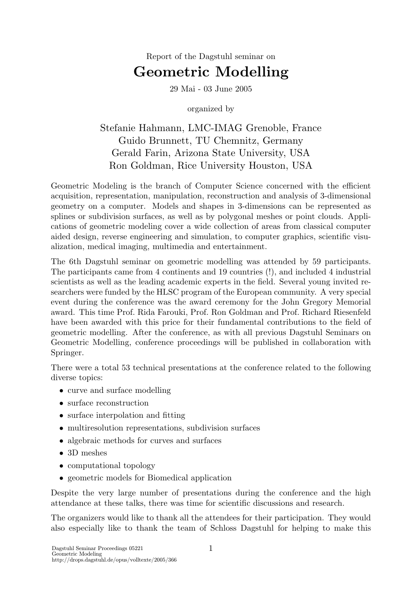# Report of the Dagstuhl seminar on Geometric Modelling

29 Mai - 03 June 2005

organized by

## Stefanie Hahmann, LMC-IMAG Grenoble, France Guido Brunnett, TU Chemnitz, Germany Gerald Farin, Arizona State University, USA Ron Goldman, Rice University Houston, USA

Geometric Modeling is the branch of Computer Science concerned with the efficient acquisition, representation, manipulation, reconstruction and analysis of 3-dimensional geometry on a computer. Models and shapes in 3-dimensions can be represented as splines or subdivision surfaces, as well as by polygonal meshes or point clouds. Applications of geometric modeling cover a wide collection of areas from classical computer aided design, reverse engineering and simulation, to computer graphics, scientific visualization, medical imaging, multimedia and entertainment.

The 6th Dagstuhl seminar on geometric modelling was attended by 59 participants. The participants came from 4 continents and 19 countries (!), and included 4 industrial scientists as well as the leading academic experts in the field. Several young invited researchers were funded by the HLSC program of the European community. A very special event during the conference was the award ceremony for the John Gregory Memorial award. This time Prof. Rida Farouki, Prof. Ron Goldman and Prof. Richard Riesenfeld have been awarded with this price for their fundamental contributions to the field of geometric modelling. After the conference, as with all previous Dagstuhl Seminars on Geometric Modelling, conference proceedings will be published in collaboration with Springer.

There were a total 53 technical presentations at the conference related to the following diverse topics:

- curve and surface modelling
- surface reconstruction
- surface interpolation and fitting
- multiresolution representations, subdivision surfaces
- algebraic methods for curves and surfaces
- 3D meshes
- computational topology
- geometric models for Biomedical application

Despite the very large number of presentations during the conference and the high attendance at these talks, there was time for scientific discussions and research.

The organizers would like to thank all the attendees for their participation. They would also especially like to thank the team of Schloss Dagstuhl for helping to make this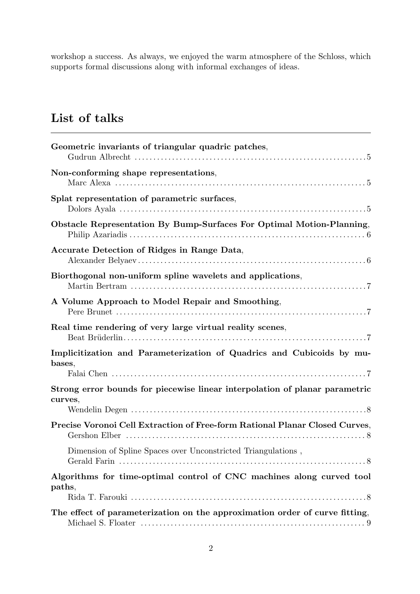workshop a success. As always, we enjoyed the warm atmosphere of the Schloss, which supports formal discussions along with informal exchanges of ideas.

# List of talks

| Geometric invariants of triangular quadric patches,                                    |
|----------------------------------------------------------------------------------------|
| Non-conforming shape representations,                                                  |
| Splat representation of parametric surfaces,                                           |
| Obstacle Representation By Bump-Surfaces For Optimal Motion-Planning,                  |
| Accurate Detection of Ridges in Range Data,                                            |
| Biorthogonal non-uniform spline wavelets and applications,                             |
| A Volume Approach to Model Repair and Smoothing,                                       |
| Real time rendering of very large virtual reality scenes,                              |
| Implicitization and Parameterization of Quadrics and Cubicoids by mu-<br>bases,        |
| Strong error bounds for piecewise linear interpolation of planar parametric<br>curves, |
| Precise Voronoi Cell Extraction of Free-form Rational Planar Closed Curves,            |
| Dimension of Spline Spaces over Unconstricted Triangulations,                          |
| Algorithms for time-optimal control of CNC machines along curved tool<br>paths,        |
|                                                                                        |
| The effect of parameterization on the approximation order of curve fitting,            |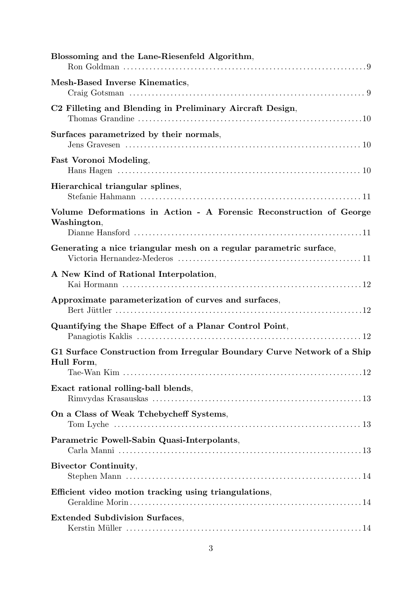| Blossoming and the Lane-Riesenfeld Algorithm,                                                                                                        |
|------------------------------------------------------------------------------------------------------------------------------------------------------|
| Mesh-Based Inverse Kinematics,                                                                                                                       |
| C2 Filleting and Blending in Preliminary Aircraft Design,                                                                                            |
| Surfaces parametrized by their normals,                                                                                                              |
| <b>Fast Voronoi Modeling,</b>                                                                                                                        |
| Hierarchical triangular splines,                                                                                                                     |
| Volume Deformations in Action - A Forensic Reconstruction of George<br>Washington,                                                                   |
| Generating a nice triangular mesh on a regular parametric surface,                                                                                   |
| A New Kind of Rational Interpolation,                                                                                                                |
| Approximate parameterization of curves and surfaces,                                                                                                 |
| Quantifying the Shape Effect of a Planar Control Point,                                                                                              |
| G1 Surface Construction from Irregular Boundary Curve Network of a Ship<br>Hull Form,                                                                |
| Exact rational rolling-ball blends,                                                                                                                  |
| On a Class of Weak Tchebycheff Systems,<br>Tom Lyche $\dots\dots\dots\dots\dots\dots\dots\dots\dots\dots\dots\dots\dots\dots\dots\dots\dots\dots 13$ |
| Parametric Powell-Sabin Quasi-Interpolants,                                                                                                          |
| <b>Bivector Continuity,</b>                                                                                                                          |
| Efficient video motion tracking using triangulations,                                                                                                |
| <b>Extended Subdivision Surfaces,</b>                                                                                                                |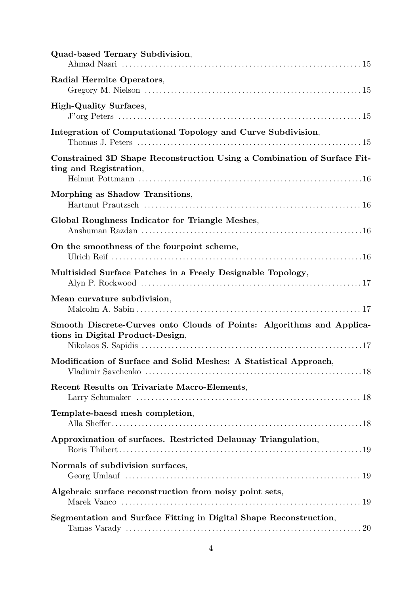| Quad-based Ternary Subdivision,                                                                           |
|-----------------------------------------------------------------------------------------------------------|
| Radial Hermite Operators,                                                                                 |
| <b>High-Quality Surfaces,</b>                                                                             |
| Integration of Computational Topology and Curve Subdivision,                                              |
| Constrained 3D Shape Reconstruction Using a Combination of Surface Fit-<br>ting and Registration,         |
| Morphing as Shadow Transitions,                                                                           |
| Global Roughness Indicator for Triangle Meshes,                                                           |
| On the smoothness of the fourpoint scheme,                                                                |
| Multisided Surface Patches in a Freely Designable Topology,                                               |
| Mean curvature subdivision,                                                                               |
| Smooth Discrete-Curves onto Clouds of Points: Algorithms and Applica-<br>tions in Digital Product-Design, |
| Modification of Surface and Solid Meshes: A Statistical Approach,                                         |
| Recent Results on Trivariate Macro-Elements,                                                              |
| Template-baesd mesh completion,                                                                           |
| Approximation of surfaces. Restricted Delaunay Triangulation,                                             |
| Normals of subdivision surfaces,                                                                          |
| Algebraic surface reconstruction from noisy point sets,                                                   |
| Segmentation and Surface Fitting in Digital Shape Reconstruction,                                         |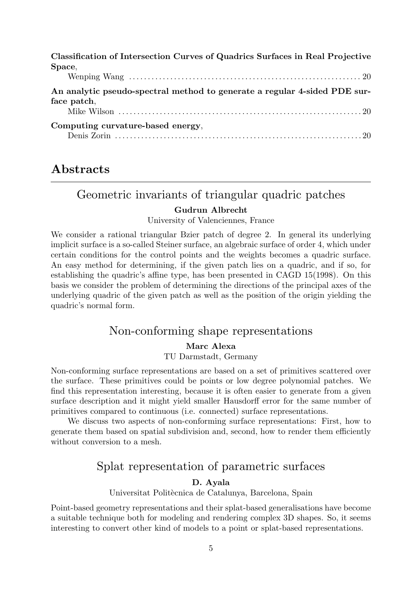| Classification of Intersection Curves of Quadrics Surfaces in Real Projective |
|-------------------------------------------------------------------------------|
| Space,                                                                        |
|                                                                               |
| An analytic pseudo-spectral method to generate a regular 4-sided PDE sur-     |
| face patch,                                                                   |
|                                                                               |
| Computing curvature-based energy,                                             |
|                                                                               |

## Abstracts

### Geometric invariants of triangular quadric patches

### Gudrun Albrecht

University of Valenciennes, France

We consider a rational triangular Bzier patch of degree 2. In general its underlying implicit surface is a so-called Steiner surface, an algebraic surface of order 4, which under certain conditions for the control points and the weights becomes a quadric surface. An easy method for determining, if the given patch lies on a quadric, and if so, for establishing the quadric's affine type, has been presented in CAGD 15(1998). On this basis we consider the problem of determining the directions of the principal axes of the underlying quadric of the given patch as well as the position of the origin yielding the quadric's normal form.

### Non-conforming shape representations

Marc Alexa

TU Darmstadt, Germany

Non-conforming surface representations are based on a set of primitives scattered over the surface. These primitives could be points or low degree polynomial patches. We find this representation interesting, because it is often easier to generate from a given surface description and it might yield smaller Hausdorff error for the same number of primitives compared to continuous (i.e. connected) surface representations.

We discuss two aspects of non-conforming surface representations: First, how to generate them based on spatial subdivision and, second, how to render them efficiently without conversion to a mesh.

## Splat representation of parametric surfaces

#### D. Ayala

Universitat Politècnica de Catalunya, Barcelona, Spain

Point-based geometry representations and their splat-based generalisations have become a suitable technique both for modeling and rendering complex 3D shapes. So, it seems interesting to convert other kind of models to a point or splat-based representations.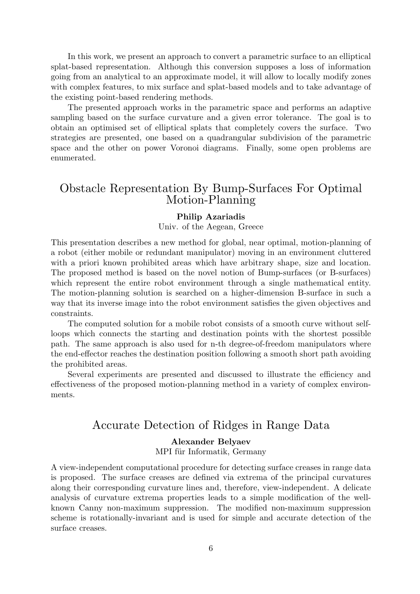In this work, we present an approach to convert a parametric surface to an elliptical splat-based representation. Although this conversion supposes a loss of information going from an analytical to an approximate model, it will allow to locally modify zones with complex features, to mix surface and splat-based models and to take advantage of the existing point-based rendering methods.

The presented approach works in the parametric space and performs an adaptive sampling based on the surface curvature and a given error tolerance. The goal is to obtain an optimised set of elliptical splats that completely covers the surface. Two strategies are presented, one based on a quadrangular subdivision of the parametric space and the other on power Voronoi diagrams. Finally, some open problems are enumerated.

## Obstacle Representation By Bump-Surfaces For Optimal Motion-Planning

#### Philip Azariadis

Univ. of the Aegean, Greece

This presentation describes a new method for global, near optimal, motion-planning of a robot (either mobile or redundant manipulator) moving in an environment cluttered with a priori known prohibited areas which have arbitrary shape, size and location. The proposed method is based on the novel notion of Bump-surfaces (or B-surfaces) which represent the entire robot environment through a single mathematical entity. The motion-planning solution is searched on a higher-dimension B-surface in such a way that its inverse image into the robot environment satisfies the given objectives and constraints.

The computed solution for a mobile robot consists of a smooth curve without selfloops which connects the starting and destination points with the shortest possible path. The same approach is also used for n-th degree-of-freedom manipulators where the end-effector reaches the destination position following a smooth short path avoiding the prohibited areas.

Several experiments are presented and discussed to illustrate the efficiency and effectiveness of the proposed motion-planning method in a variety of complex environments.

## Accurate Detection of Ridges in Range Data

#### Alexander Belyaev

MPI für Informatik, Germany

A view-independent computational procedure for detecting surface creases in range data is proposed. The surface creases are defined via extrema of the principal curvatures along their corresponding curvature lines and, therefore, view-independent. A delicate analysis of curvature extrema properties leads to a simple modification of the wellknown Canny non-maximum suppression. The modified non-maximum suppression scheme is rotationally-invariant and is used for simple and accurate detection of the surface creases.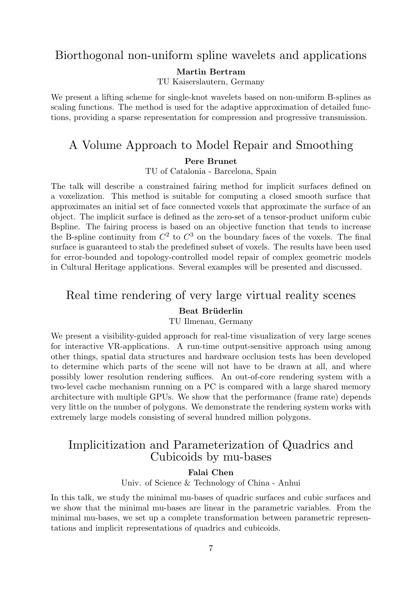### Biorthogonal non-uniform spline wavelets and applications

Martin Bertram

TU Kaiserslautern, Germany

We present a lifting scheme for single-knot wavelets based on non-uniform B-splines as scaling functions. The method is used for the adaptive approximation of detailed functions, providing a sparse representation for compression and progressive transmission.

## A Volume Approach to Model Repair and Smoothing

Pere Brunet

TU of Catalonia - Barcelona, Spain

The talk will describe a constrained fairing method for implicit surfaces defined on a voxelization. This method is suitable for computing a closed smooth surface that approximates an initial set of face connected voxels that approximate the surface of an object. The implicit surface is defined as the zero-set of a tensor-product uniform cubic Bspline. The fairing process is based on an objective function that tends to increase the B-spline continuity from  $C^2$  to  $C^3$  on the boundary faces of the voxels. The final surface is guaranteed to stab the predefined subset of voxels. The results have been used for error-bounded and topology-controlled model repair of complex geometric models in Cultural Heritage applications. Several examples will be presented and discussed.

## Real time rendering of very large virtual reality scenes

#### Beat Brüderlin

TU Ilmenau, Germany

We present a visibility-guided approach for real-time visualization of very large scenes for interactive VR-applications. A run-time output-sensitive approach using among other things, spatial data structures and hardware occlusion tests has been developed to determine which parts of the scene will not have to be drawn at all, and where possibly lower resolution rendering suffices. An out-of-core rendering system with a two-level cache mechanism running on a PC is compared with a large shared memory architecture with multiple GPUs. We show that the performance (frame rate) depends very little on the number of polygons. We demonstrate the rendering system works with extremely large models consisting of several hundred million polygons.

## Implicitization and Parameterization of Quadrics and Cubicoids by mu-bases

#### Falai Chen

Univ. of Science & Technology of China - Anhui

In this talk, we study the minimal mu-bases of quadric surfaces and cubic surfaces and we show that the minimal mu-bases are linear in the parametric variables. From the minimal mu-bases, we set up a complete transformation between parametric representations and implicit representations of quadrics and cubicoids.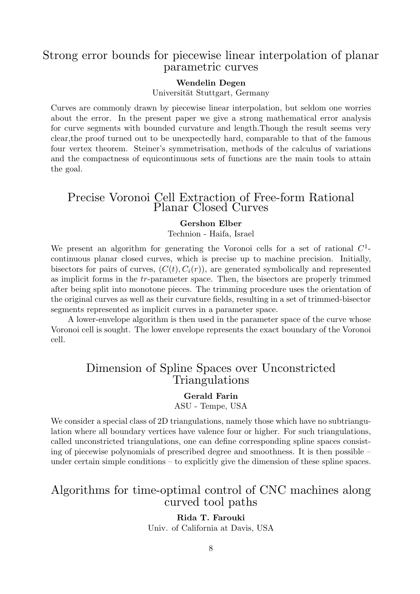## Strong error bounds for piecewise linear interpolation of planar parametric curves

#### Wendelin Degen

Universität Stuttgart, Germany

Curves are commonly drawn by piecewise linear interpolation, but seldom one worries about the error. In the present paper we give a strong mathematical error analysis for curve segments with bounded curvature and length.Though the result seems very clear,the proof turned out to be unexpectedly hard, comparable to that of the famous four vertex theorem. Steiner's symmetrisation, methods of the calculus of variations and the compactness of equicontinuous sets of functions are the main tools to attain the goal.

### Precise Voronoi Cell Extraction of Free-form Rational Planar Closed Curves

#### Gershon Elber

Technion - Haifa, Israel

We present an algorithm for generating the Voronoi cells for a set of rational  $C<sup>1</sup>$ continuous planar closed curves, which is precise up to machine precision. Initially, bisectors for pairs of curves,  $(C(t), C_i(r))$ , are generated symbolically and represented as implicit forms in the tr-parameter space. Then, the bisectors are properly trimmed after being split into monotone pieces. The trimming procedure uses the orientation of the original curves as well as their curvature fields, resulting in a set of trimmed-bisector segments represented as implicit curves in a parameter space.

A lower-envelope algorithm is then used in the parameter space of the curve whose Voronoi cell is sought. The lower envelope represents the exact boundary of the Voronoi cell.

## Dimension of Spline Spaces over Unconstricted Triangulations

Gerald Farin ASU - Tempe, USA

We consider a special class of 2D triangulations, namely those which have no subtriangulation where all boundary vertices have valence four or higher. For such triangulations, called unconstricted triangulations, one can define corresponding spline spaces consisting of piecewise polynomials of prescribed degree and smoothness. It is then possible – under certain simple conditions – to explicitly give the dimension of these spline spaces.

## Algorithms for time-optimal control of CNC machines along curved tool paths

Rida T. Farouki Univ. of California at Davis, USA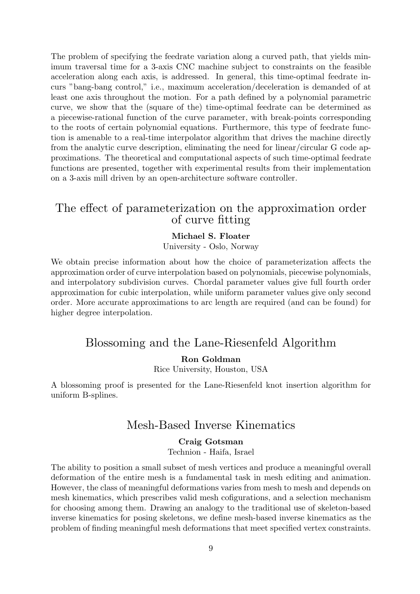The problem of specifying the feedrate variation along a curved path, that yields minimum traversal time for a 3-axis CNC machine subject to constraints on the feasible acceleration along each axis, is addressed. In general, this time-optimal feedrate incurs "bang-bang control," i.e., maximum acceleration/deceleration is demanded of at least one axis throughout the motion. For a path defined by a polynomial parametric curve, we show that the (square of the) time-optimal feedrate can be determined as a piecewise-rational function of the curve parameter, with break-points corresponding to the roots of certain polynomial equations. Furthermore, this type of feedrate function is amenable to a real-time interpolator algorithm that drives the machine directly from the analytic curve description, eliminating the need for linear/circular G code approximations. The theoretical and computational aspects of such time-optimal feedrate functions are presented, together with experimental results from their implementation on a 3-axis mill driven by an open-architecture software controller.

## The effect of parameterization on the approximation order of curve fitting

#### Michael S. Floater

University - Oslo, Norway

We obtain precise information about how the choice of parameterization affects the approximation order of curve interpolation based on polynomials, piecewise polynomials, and interpolatory subdivision curves. Chordal parameter values give full fourth order approximation for cubic interpolation, while uniform parameter values give only second order. More accurate approximations to arc length are required (and can be found) for higher degree interpolation.

## Blossoming and the Lane-Riesenfeld Algorithm

#### Ron Goldman

Rice University, Houston, USA

A blossoming proof is presented for the Lane-Riesenfeld knot insertion algorithm for uniform B-splines.

### Mesh-Based Inverse Kinematics

#### Craig Gotsman

Technion - Haifa, Israel

The ability to position a small subset of mesh vertices and produce a meaningful overall deformation of the entire mesh is a fundamental task in mesh editing and animation. However, the class of meaningful deformations varies from mesh to mesh and depends on mesh kinematics, which prescribes valid mesh cofigurations, and a selection mechanism for choosing among them. Drawing an analogy to the traditional use of skeleton-based inverse kinematics for posing skeletons, we define mesh-based inverse kinematics as the problem of finding meaningful mesh deformations that meet specified vertex constraints.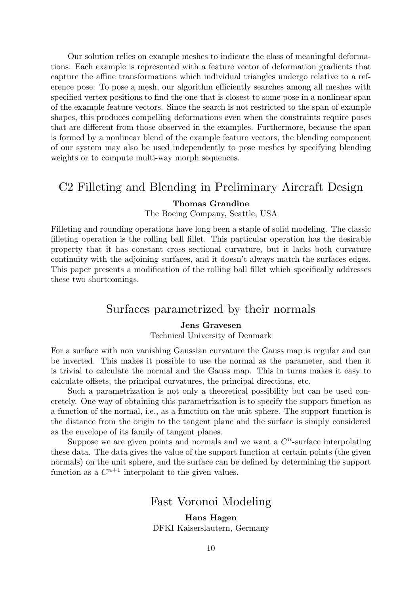Our solution relies on example meshes to indicate the class of meaningful deformations. Each example is represented with a feature vector of deformation gradients that capture the affine transformations which individual triangles undergo relative to a reference pose. To pose a mesh, our algorithm efficiently searches among all meshes with specified vertex positions to find the one that is closest to some pose in a nonlinear span of the example feature vectors. Since the search is not restricted to the span of example shapes, this produces compelling deformations even when the constraints require poses that are different from those observed in the examples. Furthermore, because the span is formed by a nonlinear blend of the example feature vectors, the blending component of our system may also be used independently to pose meshes by specifying blending weights or to compute multi-way morph sequences.

### C2 Filleting and Blending in Preliminary Aircraft Design

#### Thomas Grandine

The Boeing Company, Seattle, USA

Filleting and rounding operations have long been a staple of solid modeling. The classic filleting operation is the rolling ball fillet. This particular operation has the desirable property that it has constant cross sectional curvature, but it lacks both curvature continuity with the adjoining surfaces, and it doesn't always match the surfaces edges. This paper presents a modification of the rolling ball fillet which specifically addresses these two shortcomings.

### Surfaces parametrized by their normals

#### Jens Gravesen

Technical University of Denmark

For a surface with non vanishing Gaussian curvature the Gauss map is regular and can be inverted. This makes it possible to use the normal as the parameter, and then it is trivial to calculate the normal and the Gauss map. This in turns makes it easy to calculate offsets, the principal curvatures, the principal directions, etc.

Such a parametrization is not only a theoretical possibility but can be used concretely. One way of obtaining this parametrization is to specify the support function as a function of the normal, i.e., as a function on the unit sphere. The support function is the distance from the origin to the tangent plane and the surface is simply considered as the envelope of its family of tangent planes.

Suppose we are given points and normals and we want a  $C<sup>n</sup>$ -surface interpolating these data. The data gives the value of the support function at certain points (the given normals) on the unit sphere, and the surface can be defined by determining the support function as a  $C^{n+1}$  interpolant to the given values.

### Fast Voronoi Modeling

#### Hans Hagen DFKI Kaiserslautern, Germany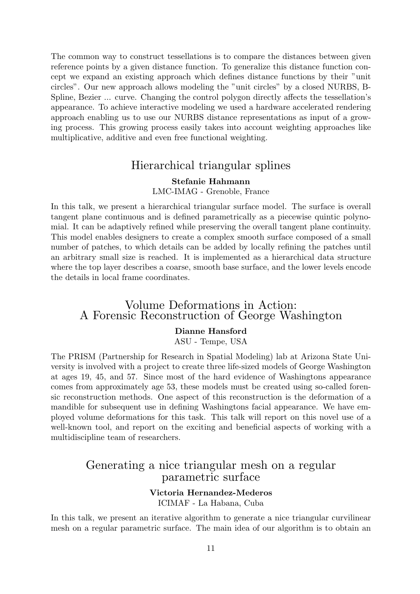The common way to construct tessellations is to compare the distances between given reference points by a given distance function. To generalize this distance function concept we expand an existing approach which defines distance functions by their "unit circles". Our new approach allows modeling the "unit circles" by a closed NURBS, B-Spline, Bezier ... curve. Changing the control polygon directly affects the tessellation's appearance. To achieve interactive modeling we used a hardware accelerated rendering approach enabling us to use our NURBS distance representations as input of a growing process. This growing process easily takes into account weighting approaches like multiplicative, additive and even free functional weighting.

### Hierarchical triangular splines

#### Stefanie Hahmann

LMC-IMAG - Grenoble, France

In this talk, we present a hierarchical triangular surface model. The surface is overall tangent plane continuous and is defined parametrically as a piecewise quintic polynomial. It can be adaptively refined while preserving the overall tangent plane continuity. This model enables designers to create a complex smooth surface composed of a small number of patches, to which details can be added by locally refining the patches until an arbitrary small size is reached. It is implemented as a hierarchical data structure where the top layer describes a coarse, smooth base surface, and the lower levels encode the details in local frame coordinates.

### Volume Deformations in Action: A Forensic Reconstruction of George Washington

#### Dianne Hansford

ASU - Tempe, USA

The PRISM (Partnership for Research in Spatial Modeling) lab at Arizona State University is involved with a project to create three life-sized models of George Washington at ages 19, 45, and 57. Since most of the hard evidence of Washingtons appearance comes from approximately age 53, these models must be created using so-called forensic reconstruction methods. One aspect of this reconstruction is the deformation of a mandible for subsequent use in defining Washingtons facial appearance. We have employed volume deformations for this task. This talk will report on this novel use of a well-known tool, and report on the exciting and beneficial aspects of working with a multidiscipline team of researchers.

### Generating a nice triangular mesh on a regular parametric surface

#### Victoria Hernandez-Mederos ICIMAF - La Habana, Cuba

In this talk, we present an iterative algorithm to generate a nice triangular curvilinear mesh on a regular parametric surface. The main idea of our algorithm is to obtain an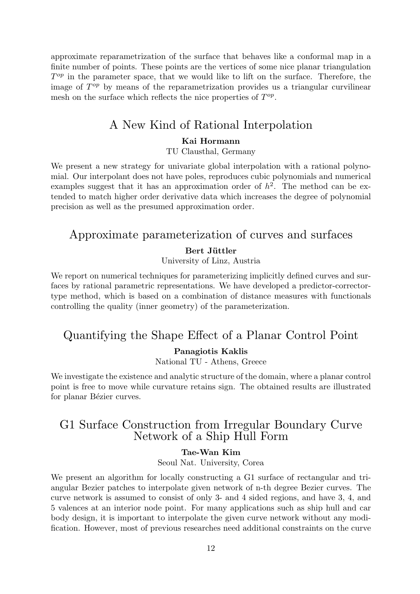approximate reparametrization of the surface that behaves like a conformal map in a finite number of points. These points are the vertices of some nice planar triangulation  $T^{op}$  in the parameter space, that we would like to lift on the surface. Therefore, the image of  $T^{op}$  by means of the reparametrization provides us a triangular curvilinear mesh on the surface which reflects the nice properties of  $T^{op}$ .

## A New Kind of Rational Interpolation

#### Kai Hormann

TU Clausthal, Germany

We present a new strategy for univariate global interpolation with a rational polynomial. Our interpolant does not have poles, reproduces cubic polynomials and numerical examples suggest that it has an approximation order of  $h^2$ . The method can be extended to match higher order derivative data which increases the degree of polynomial precision as well as the presumed approximation order.

# Approximate parameterization of curves and surfaces

#### Bert Jüttler

University of Linz, Austria

We report on numerical techniques for parameterizing implicitly defined curves and surfaces by rational parametric representations. We have developed a predictor-correctortype method, which is based on a combination of distance measures with functionals controlling the quality (inner geometry) of the parameterization.

# Quantifying the Shape Effect of a Planar Control Point

#### Panagiotis Kaklis

National TU - Athens, Greece

We investigate the existence and analytic structure of the domain, where a planar control point is free to move while curvature retains sign. The obtained results are illustrated for planar Bézier curves.

## G1 Surface Construction from Irregular Boundary Curve Network of a Ship Hull Form

#### Tae-Wan Kim

Seoul Nat. University, Corea

We present an algorithm for locally constructing a G1 surface of rectangular and triangular Bezier patches to interpolate given network of n-th degree Bezier curves. The curve network is assumed to consist of only 3- and 4 sided regions, and have 3, 4, and 5 valences at an interior node point. For many applications such as ship hull and car body design, it is important to interpolate the given curve network without any modification. However, most of previous researches need additional constraints on the curve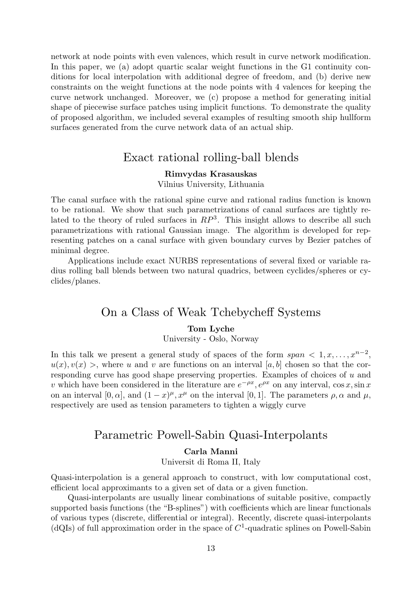network at node points with even valences, which result in curve network modification. In this paper, we (a) adopt quartic scalar weight functions in the G1 continuity conditions for local interpolation with additional degree of freedom, and (b) derive new constraints on the weight functions at the node points with 4 valences for keeping the curve network unchanged. Moreover, we (c) propose a method for generating initial shape of piecewise surface patches using implicit functions. To demonstrate the quality of proposed algorithm, we included several examples of resulting smooth ship hullform surfaces generated from the curve network data of an actual ship.

### Exact rational rolling-ball blends

#### Rimvydas Krasauskas

#### Vilnius University, Lithuania

The canal surface with the rational spine curve and rational radius function is known to be rational. We show that such parametrizations of canal surfaces are tightly related to the theory of ruled surfaces in  $RP^3$ . This insight allows to describe all such parametrizations with rational Gaussian image. The algorithm is developed for representing patches on a canal surface with given boundary curves by Bezier patches of minimal degree.

Applications include exact NURBS representations of several fixed or variable radius rolling ball blends between two natural quadrics, between cyclides/spheres or cyclides/planes.

### On a Class of Weak Tchebycheff Systems

#### Tom Lyche

#### University - Oslo, Norway

In this talk we present a general study of spaces of the form  $span < 1, x, ..., x^{n-2}$ ,  $u(x), v(x)$ , where u and v are functions on an interval [a, b] chosen so that the corresponding curve has good shape preserving properties. Examples of choices of u and v which have been considered in the literature are  $e^{-\rho x}$ ,  $e^{\rho x}$  on any interval,  $\cos x$ ,  $\sin x$ on an interval [0,  $\alpha$ ], and  $(1-x)^\mu$ ,  $x^\mu$  on the interval [0, 1]. The parameters  $\rho$ ,  $\alpha$  and  $\mu$ , respectively are used as tension parameters to tighten a wiggly curve

# Parametric Powell-Sabin Quasi-Interpolants

#### Carla Manni

Universit di Roma II, Italy

Quasi-interpolation is a general approach to construct, with low computational cost, efficient local approximants to a given set of data or a given function.

Quasi-interpolants are usually linear combinations of suitable positive, compactly supported basis functions (the "B-splines") with coefficients which are linear functionals of various types (discrete, differential or integral). Recently, discrete quasi-interpolants (dQIs) of full approximation order in the space of  $C<sup>1</sup>$ -quadratic splines on Powell-Sabin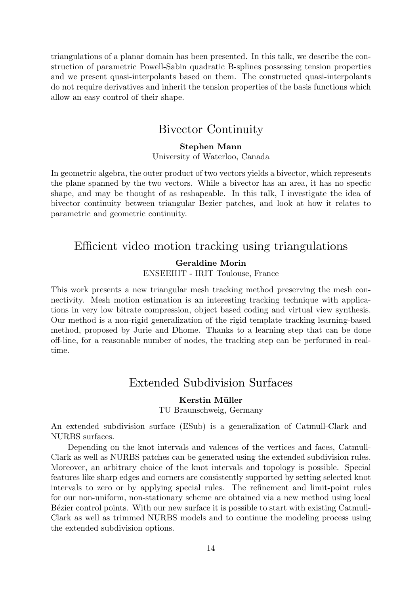triangulations of a planar domain has been presented. In this talk, we describe the construction of parametric Powell-Sabin quadratic B-splines possessing tension properties and we present quasi-interpolants based on them. The constructed quasi-interpolants do not require derivatives and inherit the tension properties of the basis functions which allow an easy control of their shape.

## Bivector Continuity

#### Stephen Mann University of Waterloo, Canada

In geometric algebra, the outer product of two vectors yields a bivector, which represents the plane spanned by the two vectors. While a bivector has an area, it has no specfic shape, and may be thought of as reshapeable. In this talk, I investigate the idea of bivector continuity between triangular Bezier patches, and look at how it relates to parametric and geometric continuity.

## Efficient video motion tracking using triangulations

### Geraldine Morin ENSEEIHT - IRIT Toulouse, France

This work presents a new triangular mesh tracking method preserving the mesh connectivity. Mesh motion estimation is an interesting tracking technique with applications in very low bitrate compression, object based coding and virtual view synthesis. Our method is a non-rigid generalization of the rigid template tracking learning-based method, proposed by Jurie and Dhome. Thanks to a learning step that can be done off-line, for a reasonable number of nodes, the tracking step can be performed in realtime.

# Extended Subdivision Surfaces

### Kerstin Müller

TU Braunschweig, Germany

An extended subdivision surface (ESub) is a generalization of Catmull-Clark and NURBS surfaces.

Depending on the knot intervals and valences of the vertices and faces, Catmull-Clark as well as NURBS patches can be generated using the extended subdivision rules. Moreover, an arbitrary choice of the knot intervals and topology is possible. Special features like sharp edges and corners are consistently supported by setting selected knot intervals to zero or by applying special rules. The refinement and limit-point rules for our non-uniform, non-stationary scheme are obtained via a new method using local B'exter control points. With our new surface it is possible to start with existing Catmull-Clark as well as trimmed NURBS models and to continue the modeling process using the extended subdivision options.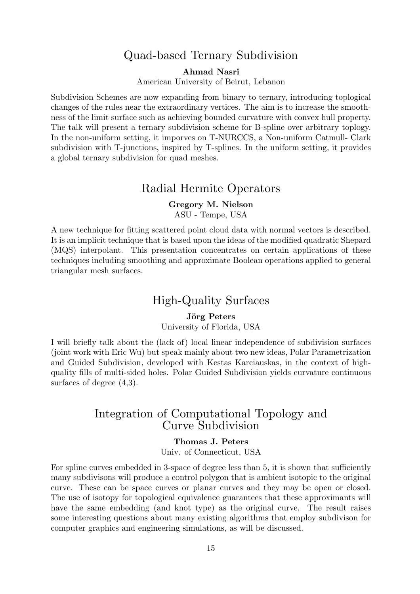## Quad-based Ternary Subdivision

Ahmad Nasri

American University of Beirut, Lebanon

Subdivision Schemes are now expanding from binary to ternary, introducing toplogical changes of the rules near the extraordinary vertices. The aim is to increase the smoothness of the limit surface such as achieving bounded curvature with convex hull property. The talk will present a ternary subdivision scheme for B-spline over arbitrary toplogy. In the non-uniform setting, it imporves on T-NURCCS, a Non-uniform Catmull- Clark subdivision with T-junctions, inspired by T-splines. In the uniform setting, it provides a global ternary subdivision for quad meshes.

### Radial Hermite Operators

#### Gregory M. Nielson

ASU - Tempe, USA

A new technique for fitting scattered point cloud data with normal vectors is described. It is an implicit technique that is based upon the ideas of the modified quadratic Shepard (MQS) interpolant. This presentation concentrates on certain applications of these techniques including smoothing and approximate Boolean operations applied to general triangular mesh surfaces.

# High-Quality Surfaces

#### Jörg Peters

University of Florida, USA

I will briefly talk about the (lack of) local linear independence of subdivision surfaces (joint work with Eric Wu) but speak mainly about two new ideas, Polar Parametrization and Guided Subdivision, developed with Kestas Karciauskas, in the context of highquality fills of multi-sided holes. Polar Guided Subdivision yields curvature continuous surfaces of degree  $(4,3)$ .

## Integration of Computational Topology and Curve Subdivision

#### Thomas J. Peters

Univ. of Connecticut, USA

For spline curves embedded in 3-space of degree less than 5, it is shown that sufficiently many subdivisons will produce a control polygon that is ambient isotopic to the original curve. These can be space curves or planar curves and they may be open or closed. The use of isotopy for topological equivalence guarantees that these approximants will have the same embedding (and knot type) as the original curve. The result raises some interesting questions about many existing algorithms that employ subdivison for computer graphics and engineering simulations, as will be discussed.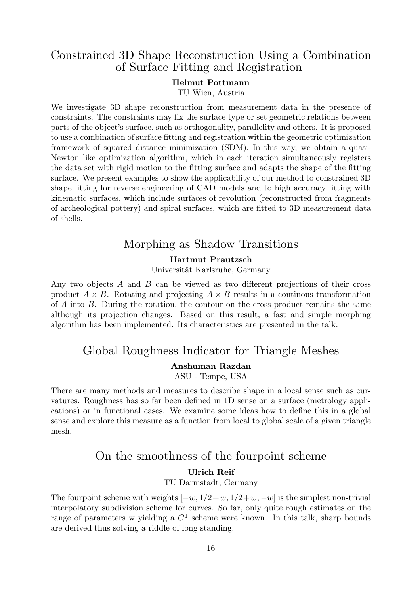## Constrained 3D Shape Reconstruction Using a Combination of Surface Fitting and Registration

#### Helmut Pottmann

TU Wien, Austria

We investigate 3D shape reconstruction from measurement data in the presence of constraints. The constraints may fix the surface type or set geometric relations between parts of the object's surface, such as orthogonality, parallelity and others. It is proposed to use a combination of surface fitting and registration within the geometric optimization framework of squared distance minimization (SDM). In this way, we obtain a quasi-Newton like optimization algorithm, which in each iteration simultaneously registers the data set with rigid motion to the fitting surface and adapts the shape of the fitting surface. We present examples to show the applicability of our method to constrained 3D shape fitting for reverse engineering of CAD models and to high accuracy fitting with kinematic surfaces, which include surfaces of revolution (reconstructed from fragments of archeological pottery) and spiral surfaces, which are fitted to 3D measurement data of shells.

## Morphing as Shadow Transitions

#### Hartmut Prautzsch

Universität Karlsruhe, Germany

Any two objects A and B can be viewed as two different projections of their cross product  $A \times B$ . Rotating and projecting  $A \times B$  results in a continuous transformation of  $A$  into  $B$ . During the rotation, the contour on the cross product remains the same although its projection changes. Based on this result, a fast and simple morphing algorithm has been implemented. Its characteristics are presented in the talk.

## Global Roughness Indicator for Triangle Meshes

### Anshuman Razdan

ASU - Tempe, USA

There are many methods and measures to describe shape in a local sense such as curvatures. Roughness has so far been defined in 1D sense on a surface (metrology applications) or in functional cases. We examine some ideas how to define this in a global sense and explore this measure as a function from local to global scale of a given triangle mesh.

# On the smoothness of the fourpoint scheme

#### Ulrich Reif

#### TU Darmstadt, Germany

The fourpoint scheme with weights  $[-w, 1/2+w, 1/2+w, -w]$  is the simplest non-trivial interpolatory subdivision scheme for curves. So far, only quite rough estimates on the range of parameters w yielding a  $C^1$  scheme were known. In this talk, sharp bounds are derived thus solving a riddle of long standing.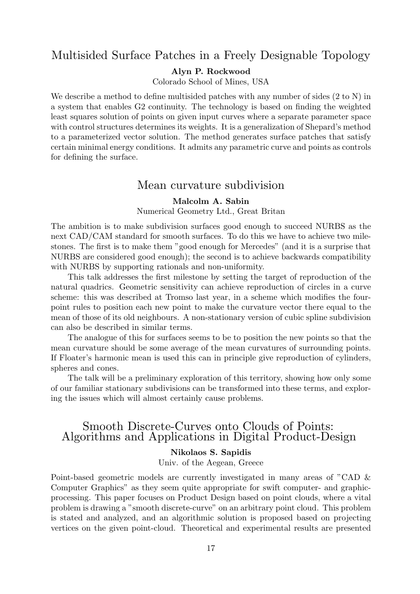### Multisided Surface Patches in a Freely Designable Topology

#### Alyn P. Rockwood

Colorado School of Mines, USA

We describe a method to define multisided patches with any number of sides  $(2 \text{ to } N)$  in a system that enables G2 continuity. The technology is based on finding the weighted least squares solution of points on given input curves where a separate parameter space with control structures determines its weights. It is a generalization of Shepard's method to a parameterized vector solution. The method generates surface patches that satisfy certain minimal energy conditions. It admits any parametric curve and points as controls for defining the surface.

### Mean curvature subdivision

#### Malcolm A. Sabin

Numerical Geometry Ltd., Great Britan

The ambition is to make subdivision surfaces good enough to succeed NURBS as the next CAD/CAM standard for smooth surfaces. To do this we have to achieve two milestones. The first is to make them "good enough for Mercedes" (and it is a surprise that NURBS are considered good enough); the second is to achieve backwards compatibility with NURBS by supporting rationals and non-uniformity.

This talk addresses the first milestone by setting the target of reproduction of the natural quadrics. Geometric sensitivity can achieve reproduction of circles in a curve scheme: this was described at Tromso last year, in a scheme which modifies the fourpoint rules to position each new point to make the curvature vector there equal to the mean of those of its old neighbours. A non-stationary version of cubic spline subdivision can also be described in similar terms.

The analogue of this for surfaces seems to be to position the new points so that the mean curvature should be some average of the mean curvatures of surrounding points. If Floater's harmonic mean is used this can in principle give reproduction of cylinders, spheres and cones.

The talk will be a preliminary exploration of this territory, showing how only some of our familiar stationary subdivisions can be transformed into these terms, and exploring the issues which will almost certainly cause problems.

### Smooth Discrete-Curves onto Clouds of Points: Algorithms and Applications in Digital Product-Design

#### Nikolaos S. Sapidis

Univ. of the Aegean, Greece

Point-based geometric models are currently investigated in many areas of "CAD & Computer Graphics" as they seem quite appropriate for swift computer- and graphicprocessing. This paper focuses on Product Design based on point clouds, where a vital problem is drawing a "smooth discrete-curve" on an arbitrary point cloud. This problem is stated and analyzed, and an algorithmic solution is proposed based on projecting vertices on the given point-cloud. Theoretical and experimental results are presented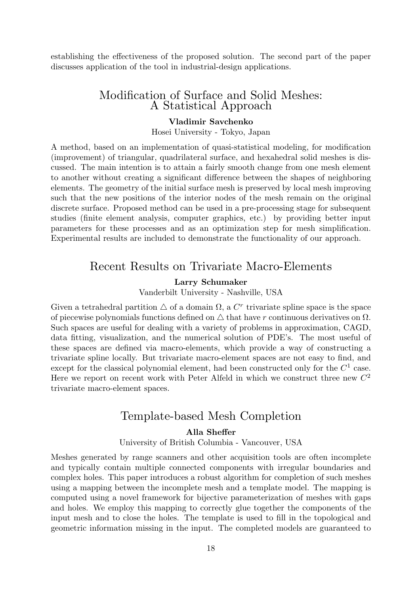establishing the effectiveness of the proposed solution. The second part of the paper discusses application of the tool in industrial-design applications.

### Modification of Surface and Solid Meshes: A Statistical Approach

#### Vladimir Savchenko

Hosei University - Tokyo, Japan

A method, based on an implementation of quasi-statistical modeling, for modification (improvement) of triangular, quadrilateral surface, and hexahedral solid meshes is discussed. The main intention is to attain a fairly smooth change from one mesh element to another without creating a significant difference between the shapes of neighboring elements. The geometry of the initial surface mesh is preserved by local mesh improving such that the new positions of the interior nodes of the mesh remain on the original discrete surface. Proposed method can be used in a pre-processing stage for subsequent studies (finite element analysis, computer graphics, etc.) by providing better input parameters for these processes and as an optimization step for mesh simplification. Experimental results are included to demonstrate the functionality of our approach.

### Recent Results on Trivariate Macro-Elements

#### Larry Schumaker

Vanderbilt University - Nashville, USA

Given a tetrahedral partition  $\triangle$  of a domain  $\Omega$ , a  $C<sup>r</sup>$  trivariate spline space is the space of piecewise polynomials functions defined on  $\triangle$  that have r continuous derivatives on  $\Omega$ . Such spaces are useful for dealing with a variety of problems in approximation, CAGD, data fitting, visualization, and the numerical solution of PDE's. The most useful of these spaces are defined via macro-elements, which provide a way of constructing a trivariate spline locally. But trivariate macro-element spaces are not easy to find, and except for the classical polynomial element, had been constructed only for the  $C^1$  case. Here we report on recent work with Peter Alfeld in which we construct three new  $C^2$ trivariate macro-element spaces.

### Template-based Mesh Completion

#### Alla Sheffer

University of British Columbia - Vancouver, USA

Meshes generated by range scanners and other acquisition tools are often incomplete and typically contain multiple connected components with irregular boundaries and complex holes. This paper introduces a robust algorithm for completion of such meshes using a mapping between the incomplete mesh and a template model. The mapping is computed using a novel framework for bijective parameterization of meshes with gaps and holes. We employ this mapping to correctly glue together the components of the input mesh and to close the holes. The template is used to fill in the topological and geometric information missing in the input. The completed models are guaranteed to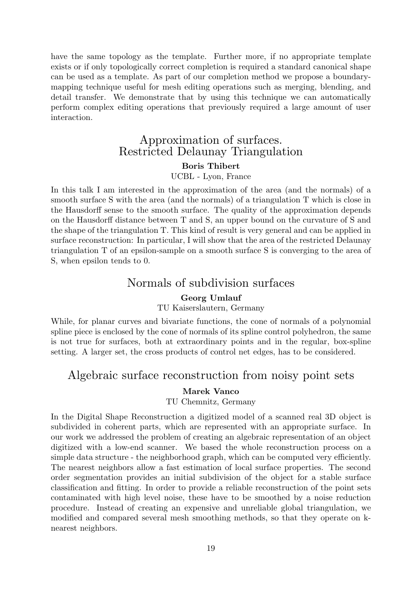have the same topology as the template. Further more, if no appropriate template exists or if only topologically correct completion is required a standard canonical shape can be used as a template. As part of our completion method we propose a boundarymapping technique useful for mesh editing operations such as merging, blending, and detail transfer. We demonstrate that by using this technique we can automatically perform complex editing operations that previously required a large amount of user interaction.

## Approximation of surfaces. Restricted Delaunay Triangulation Boris Thibert

UCBL - Lyon, France

In this talk I am interested in the approximation of the area (and the normals) of a smooth surface S with the area (and the normals) of a triangulation T which is close in the Hausdorff sense to the smooth surface. The quality of the approximation depends on the Hausdorff distance between T and S, an upper bound on the curvature of S and the shape of the triangulation T. This kind of result is very general and can be applied in surface reconstruction: In particular, I will show that the area of the restricted Delaunay triangulation T of an epsilon-sample on a smooth surface S is converging to the area of S, when epsilon tends to 0.

## Normals of subdivision surfaces

#### Georg Umlauf

#### TU Kaiserslautern, Germany

While, for planar curves and bivariate functions, the cone of normals of a polynomial spline piece is enclosed by the cone of normals of its spline control polyhedron, the same is not true for surfaces, both at extraordinary points and in the regular, box-spline setting. A larger set, the cross products of control net edges, has to be considered.

## Algebraic surface reconstruction from noisy point sets

### Marek Vanco

#### TU Chemnitz, Germany

In the Digital Shape Reconstruction a digitized model of a scanned real 3D object is subdivided in coherent parts, which are represented with an appropriate surface. In our work we addressed the problem of creating an algebraic representation of an object digitized with a low-end scanner. We based the whole reconstruction process on a simple data structure - the neighborhood graph, which can be computed very efficiently. The nearest neighbors allow a fast estimation of local surface properties. The second order segmentation provides an initial subdivision of the object for a stable surface classification and fitting. In order to provide a reliable reconstruction of the point sets contaminated with high level noise, these have to be smoothed by a noise reduction procedure. Instead of creating an expensive and unreliable global triangulation, we modified and compared several mesh smoothing methods, so that they operate on knearest neighbors.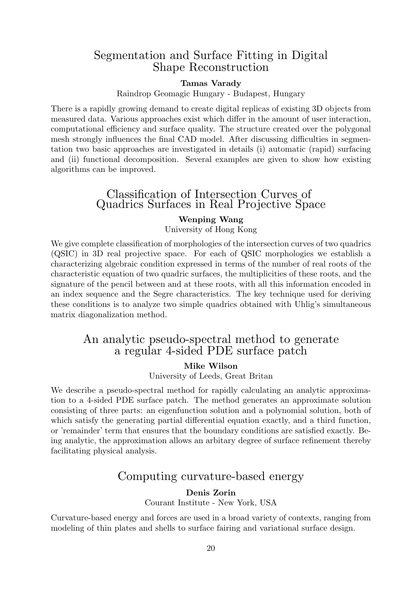## Segmentation and Surface Fitting in Digital Shape Reconstruction

#### Tamas Varady

Raindrop Geomagic Hungary - Budapest, Hungary

There is a rapidly growing demand to create digital replicas of existing 3D objects from measured data. Various approaches exist which differ in the amount of user interaction, computational efficiency and surface quality. The structure created over the polygonal mesh strongly influences the final CAD model. After discussing difficulties in segmentation two basic approaches are investigated in details (i) automatic (rapid) surfacing and (ii) functional decomposition. Several examples are given to show how existing algorithms can be improved.

### Classification of Intersection Curves of Quadrics Surfaces in Real Projective Space

#### Wenping Wang

University of Hong Kong

We give complete classification of morphologies of the intersection curves of two quadrics (QSIC) in 3D real projective space. For each of QSIC morphologies we establish a characterizing algebraic condition expressed in terms of the number of real roots of the characteristic equation of two quadric surfaces, the multiplicities of these roots, and the signature of the pencil between and at these roots, with all this information encoded in an index sequence and the Segre characteristics. The key technique used for deriving these conditions is to analyze two simple quadrics obtained with Uhlig's simultaneous matrix diagonalization method.

## An analytic pseudo-spectral method to generate a regular 4-sided PDE surface patch

#### Mike Wilson

University of Leeds, Great Britan

We describe a pseudo-spectral method for rapidly calculating an analytic approximation to a 4-sided PDE surface patch. The method generates an approximate solution consisting of three parts: an eigenfunction solution and a polynomial solution, both of which satisfy the generating partial differential equation exactly, and a third function, or 'remainder' term that ensures that the boundary conditions are satisfied exactly. Being analytic, the approximation allows an arbitary degree of surface refinement thereby facilitating physical analysis.

### Computing curvature-based energy

#### Denis Zorin

Courant Institute - New York, USA

Curvature-based energy and forces are used in a broad variety of contexts, ranging from modeling of thin plates and shells to surface fairing and variational surface design.